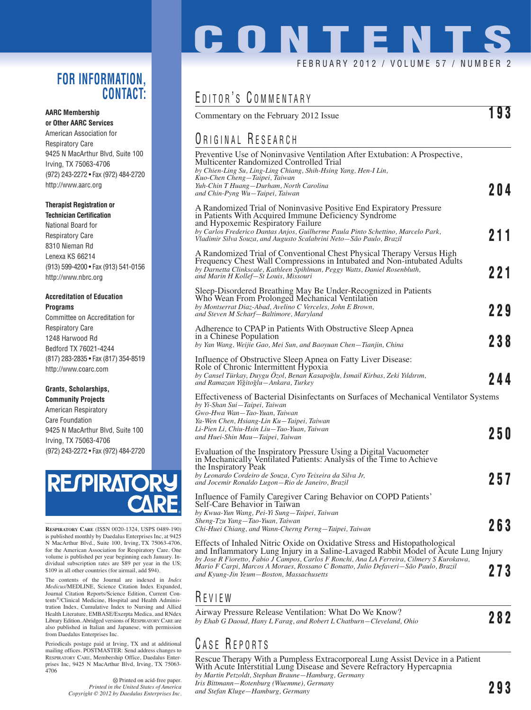#### **FOR INFORMATION, CONTACT:**

#### **AARC Membership**

**or Other AARC Services** American Association for Respiratory Care 9425 N MacArthur Blvd, Suite 100 Irving, TX 75063-4706 (972) 243-2272 • Fax (972) 484-2720 http://www.aarc.org

#### **Therapist Registration or**

**Technician Certification** National Board for Respiratory Care 8310 Nieman Rd Lenexa KS 66214 (913) 599-4200 • Fax (913) 541-0156 http://www.nbrc.org

#### **Accreditation of Education Programs**

Committee on Accreditation for Respiratory Care 1248 Harwood Rd Bedford TX 76021-4244 (817) 283-2835 • Fax (817) 354-8519 http://www.coarc.com

#### **Grants, Scholarships, Community Projects**

American Respiratory Care Foundation 9425 N MacArthur Blvd, Suite 100 Irving, TX 75063-4706 (972) 243-2272 • Fax (972) 484-2720

# **RESPIRATO**

**RESPIRATORY CARE** (ISSN 0020-1324, USPS 0489-190) is published monthly by Daedalus Enterprises Inc, at 9425 N MacArthur Blvd., Suite 100, Irving, TX 75063-4706, for the American Association for Respiratory Care. One volume is published per year beginning each January. In-dividual subscription rates are \$89 per year in the US; \$109 in all other countries (for airmail, add \$94).

The contents of the Journal are indexed in *Index Medicus*/MEDLINE, Science Citation Index Expanded, Journal Citation Reports/Science Edition, Current Contents®/Clinical Medicine, Hospital and Health Administration Index, Cumulative Index to Nursing and Allied Health Literature, EMBASE/Exerpta Medica, and RNdex Library Edition. Abridged versions of RESPIRATORY CARE are also published in Italian and Japanese, with permission from Daedalus Enterprises Inc.

Periodicals postage paid at Irving, TX and at additional mailing offices. POSTMASTER: Send address changes to RESPIRATORY CARE, Membership Office, Daedalus Enterprises Inc, 9425 N MacArthur Blvd, Irving, TX 75063- 4706

> Printed on acid-free paper. *Printed in the United States of America Copyright © 2012 by Daedalus Enterprises Inc.*

# **CONTENTS** FEBRUARY 2012 / VOLUME 57 / NUMBER 2

## EDITOR'S COMMENTARY

| Commentary on the February 2012 Issue                                                                                                                                                                                                                                                                                      | 193 |
|----------------------------------------------------------------------------------------------------------------------------------------------------------------------------------------------------------------------------------------------------------------------------------------------------------------------------|-----|
| <b>ORIGINAL RESEARCH</b>                                                                                                                                                                                                                                                                                                   |     |
| Preventive Use of Noninvasive Ventilation After Extubation: A Prospective,<br>Multicenter Randomized Controlled Trial<br>by Chien-Ling Su, Ling-Ling Chiang, Shih-Hsing Yang, Hen-I Lin,<br>Kuo-Chen Cheng-Taipei, Taiwan<br>Yuh-Chin T Huang—Durham, North Carolina<br>and Chin-Pyng Wu-Taipei, Taiwan                    | 204 |
| A Randomized Trial of Noninvasive Positive End Expiratory Pressure<br>in Patients With Acquired Immune Deficiency Syndrome<br>and Hypoxemic Respiratory Failure<br>by Carlos Frederico Dantas Anjos, Guilherme Paula Pinto Schettino, Marcelo Park,<br>Vladimir Silva Souza, and Augusto Scalabrini Neto-São Paulo, Brazil | 211 |
| A Randomized Trial of Conventional Chest Physical Therapy Versus High<br>Frequency Chest Wall Compressions in Intubated and Non-intubated Adults<br>by Darnetta Clinkscale, Kathleen Spihlman, Peggy Watts, Daniel Rosenbluth,<br>and Marin H Kollef-St Louis, Missouri                                                    | 221 |
| Sleep-Disordered Breathing May Be Under-Recognized in Patients<br>Who Wean From Prolonged Mechanical Ventilation<br>by Montserrat Diaz-Abad, Avelino C Verceles, John E Brown,<br>and Steven M Scharf-Baltimore, Maryland                                                                                                  | 229 |
| Adherence to CPAP in Patients With Obstructive Sleep Apnea<br>in a Chinese Population<br>by Yan Wang, Weijie Gao, Mei Sun, and Baoyuan Chen-Tianjin, China                                                                                                                                                                 | 238 |
| Influence of Obstructive Sleep Apnea on Fatty Liver Disease:<br>Role of Chronic Intermittent Hypoxia<br>by Cansel Türkay, Duygu Özol, Benan Kasapoğlu, İsmail Kirbas, Zeki Yıldırım,<br>and Ramazan Yiğitoğlu-Ankara, Turkey                                                                                               | 244 |
| Effectiveness of Bacterial Disinfectants on Surfaces of Mechanical Ventilator Systems<br>by Yi-Shan Sui-Taipei, Taiwan<br>Gwo-Hwa Wan-Tao-Yuan, Taiwan<br>Ya-Wen Chen, Hsiang-Lin Ku-Taipei, Taiwan                                                                                                                        |     |
| Li-Pien Li, Chiu-Hsin Liu—Tao-Yuan, Taiwan<br>and Huei-Shin Mau—Taipei, Taiwan                                                                                                                                                                                                                                             | 250 |
| Evaluation of the Inspiratory Pressure Using a Digital Vacuometer<br>in Mechanically Ventilated Patients: Analysis of the Time to Achieve<br>the Inspiratory Peak<br>by Leonardo Cordeiro de Souza, Cyro Teixeira da Silva Jr,<br>and Jocemir Ronaldo Lugon-Rio de Janeiro, Brazil                                         | 257 |
| Influence of Family Caregiver Caring Behavior on COPD Patients'<br>Self-Care Behavior in Taiwan<br>by Kwua-Yun Wang, Pei-Yi Sung-Taipei, Taiwan<br>Sheng-Tzu Yang—Tao-Yuan, Taiwan<br>Chi-Huei Chiang, and Wann-Cherng Perng—Taipei, Taiwan                                                                                | 263 |
| Effects of Inhaled Nitric Oxide on Oxidative Stress and Histopathological<br>and Inflammatory Lung Injury in a Saline-Lavaged Rabbit Model of Acute Lung Injury<br>by Jose R Fioretto, Fabio J Campos, Carlos F Ronchi, Ana LA Ferreira, Cilmery S Kurokawa,                                                               |     |
| Mario F Carpi, Marcos A Moraes, Rossano C Bonatto, Julio Defaveri–São Paulo, Brazil<br>and Kyung-Jin Yeum-Boston, Massachusetts                                                                                                                                                                                            | 273 |
| $R$ C V I C W                                                                                                                                                                                                                                                                                                              |     |

### R EVIEW

| Airway Pressure Release Ventilation: What Do We Know?                |     |
|----------------------------------------------------------------------|-----|
| by Ehab G Daoud, Hany L Farag, and Robert L Chatburn—Cleveland, Ohio | 282 |

## CASE REPORTS

Rescue Therapy With a Pumpless Extracorporeal Lung Assist Device in a Patient With Acute Interstitial Lung Disease and Severe Refractory Hypercapnia *by Martin Petzoldt, Stephan Braune—Hamburg, Germany Iris Bittmann—Rotenburg (Wuemme), Germany and Stefan Kluge—Hamburg, Germany* **293**